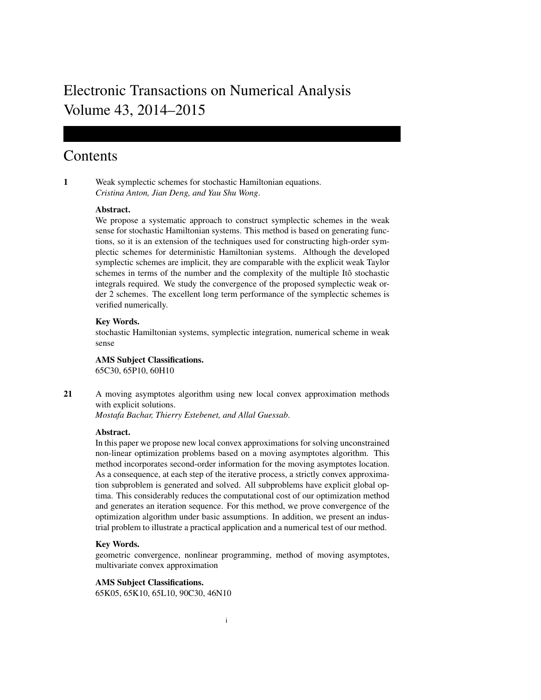# Electronic Transactions on Numerical Analysis Volume 43, 2014–2015

## Contents

1 Weak symplectic schemes for stochastic Hamiltonian equations. *Cristina Anton, Jian Deng, and Yau Shu Wong*.

#### Abstract.

We propose a systematic approach to construct symplectic schemes in the weak sense for stochastic Hamiltonian systems. This method is based on generating functions, so it is an extension of the techniques used for constructing high-order symplectic schemes for deterministic Hamiltonian systems. Although the developed symplectic schemes are implicit, they are comparable with the explicit weak Taylor schemes in terms of the number and the complexity of the multiple Itô stochastic integrals required. We study the convergence of the proposed symplectic weak order 2 schemes. The excellent long term performance of the symplectic schemes is verified numerically.

#### Key Words.

stochastic Hamiltonian systems, symplectic integration, numerical scheme in weak sense

AMS Subject Classifications. 65C30, 65P10, 60H10

21 A moving asymptotes algorithm using new local convex approximation methods with explicit solutions.

*Mostafa Bachar, Thierry Estebenet, and Allal Guessab*.

#### Abstract.

In this paper we propose new local convex approximations for solving unconstrained non-linear optimization problems based on a moving asymptotes algorithm. This method incorporates second-order information for the moving asymptotes location. As a consequence, at each step of the iterative process, a strictly convex approximation subproblem is generated and solved. All subproblems have explicit global optima. This considerably reduces the computational cost of our optimization method and generates an iteration sequence. For this method, we prove convergence of the optimization algorithm under basic assumptions. In addition, we present an industrial problem to illustrate a practical application and a numerical test of our method.

## Key Words.

geometric convergence, nonlinear programming, method of moving asymptotes, multivariate convex approximation

### AMS Subject Classifications.

65K05, 65K10, 65L10, 90C30, 46N10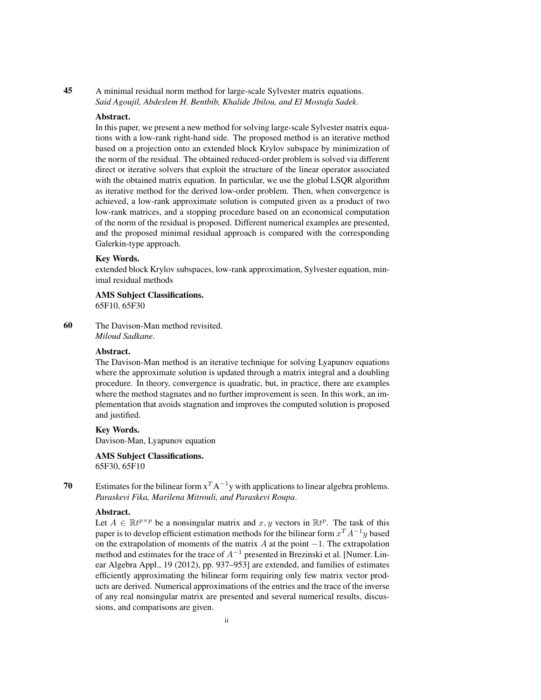45 A minimal residual norm method for large-scale Sylvester matrix equations. *Said Agoujil, Abdeslem H. Bentbib, Khalide Jbilou, and El Mostafa Sadek*.

## Abstract.

In this paper, we present a new method for solving large-scale Sylvester matrix equations with a low-rank right-hand side. The proposed method is an iterative method based on a projection onto an extended block Krylov subspace by minimization of the norm of the residual. The obtained reduced-order problem is solved via different direct or iterative solvers that exploit the structure of the linear operator associated with the obtained matrix equation. In particular, we use the global LSQR algorithm as iterative method for the derived low-order problem. Then, when convergence is achieved, a low-rank approximate solution is computed given as a product of two low-rank matrices, and a stopping procedure based on an economical computation of the norm of the residual is proposed. Different numerical examples are presented, and the proposed minimal residual approach is compared with the corresponding Galerkin-type approach.

#### Key Words.

extended block Krylov subspaces, low-rank approximation, Sylvester equation, minimal residual methods

AMS Subject Classifications. 65F10, 65F30

60 The Davison-Man method revisited. *Miloud Sadkane*.

## Abstract.

The Davison-Man method is an iterative technique for solving Lyapunov equations where the approximate solution is updated through a matrix integral and a doubling procedure. In theory, convergence is quadratic, but, in practice, there are examples where the method stagnates and no further improvement is seen. In this work, an implementation that avoids stagnation and improves the computed solution is proposed and justified.

#### Key Words.

Davison-Man, Lyapunov equation

AMS Subject Classifications. 65F30, 65F10

70 Estimates for the bilinear form  $x^T A^{-1}y$  with applications to linear algebra problems. *Paraskevi Fika, Marilena Mitrouli, and Paraskevi Roupa*.

#### Abstract.

Let  $A \in \mathbb{R}t^{p \times p}$  be a nonsingular matrix and  $x, y$  vectors in  $\mathbb{R}t^p$ . The task of this paper is to develop efficient estimation methods for the bilinear form  $x^T A^{-1} y$  based on the extrapolation of moments of the matrix A at the point  $-1$ . The extrapolation method and estimates for the trace of  $A^{-1}$  presented in Brezinski et al. [Numer. Linear Algebra Appl., 19 (2012), pp. 937–953] are extended, and families of estimates efficiently approximating the bilinear form requiring only few matrix vector products are derived. Numerical approximations of the entries and the trace of the inverse of any real nonsingular matrix are presented and several numerical results, discussions, and comparisons are given.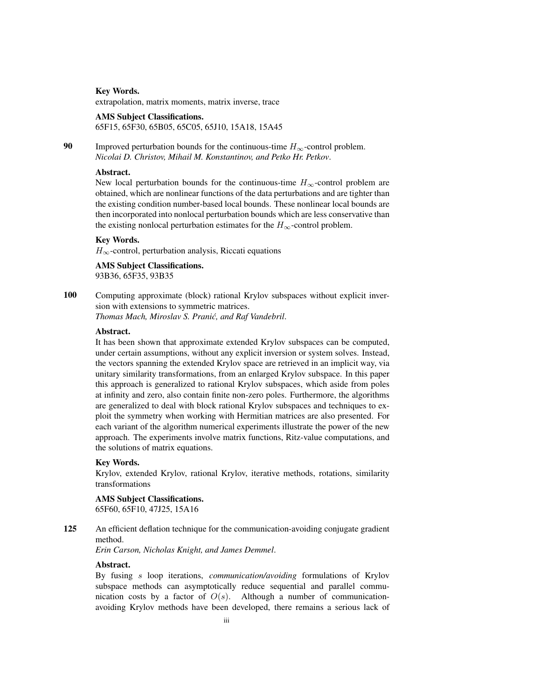Key Words.

extrapolation, matrix moments, matrix inverse, trace

#### AMS Subject Classifications.

65F15, 65F30, 65B05, 65C05, 65J10, 15A18, 15A45

90 Improved perturbation bounds for the continuous-time  $H_{\infty}$ -control problem. *Nicolai D. Christov, Mihail M. Konstantinov, and Petko Hr. Petkov*.

#### Abstract.

New local perturbation bounds for the continuous-time  $H_{\infty}$ -control problem are obtained, which are nonlinear functions of the data perturbations and are tighter than the existing condition number-based local bounds. These nonlinear local bounds are then incorporated into nonlocal perturbation bounds which are less conservative than the existing nonlocal perturbation estimates for the  $H_{\infty}$ -control problem.

#### Key Words.

 $H_{\infty}$ -control, perturbation analysis, Riccati equations

AMS Subject Classifications. 93B36, 65F35, 93B35

100 Computing approximate (block) rational Krylov subspaces without explicit inversion with extensions to symmetric matrices.

*Thomas Mach, Miroslav S. Pranic, and Raf Vandebril ´* .

## Abstract.

It has been shown that approximate extended Krylov subspaces can be computed, under certain assumptions, without any explicit inversion or system solves. Instead, the vectors spanning the extended Krylov space are retrieved in an implicit way, via unitary similarity transformations, from an enlarged Krylov subspace. In this paper this approach is generalized to rational Krylov subspaces, which aside from poles at infinity and zero, also contain finite non-zero poles. Furthermore, the algorithms are generalized to deal with block rational Krylov subspaces and techniques to exploit the symmetry when working with Hermitian matrices are also presented. For each variant of the algorithm numerical experiments illustrate the power of the new approach. The experiments involve matrix functions, Ritz-value computations, and the solutions of matrix equations.

#### Key Words.

Krylov, extended Krylov, rational Krylov, iterative methods, rotations, similarity transformations

#### AMS Subject Classifications.

65F60, 65F10, 47J25, 15A16

125 An efficient deflation technique for the communication-avoiding conjugate gradient method.

*Erin Carson, Nicholas Knight, and James Demmel*.

#### Abstract.

By fusing s loop iterations, *communication/avoiding* formulations of Krylov subspace methods can asymptotically reduce sequential and parallel communication costs by a factor of  $O(s)$ . Although a number of communicationavoiding Krylov methods have been developed, there remains a serious lack of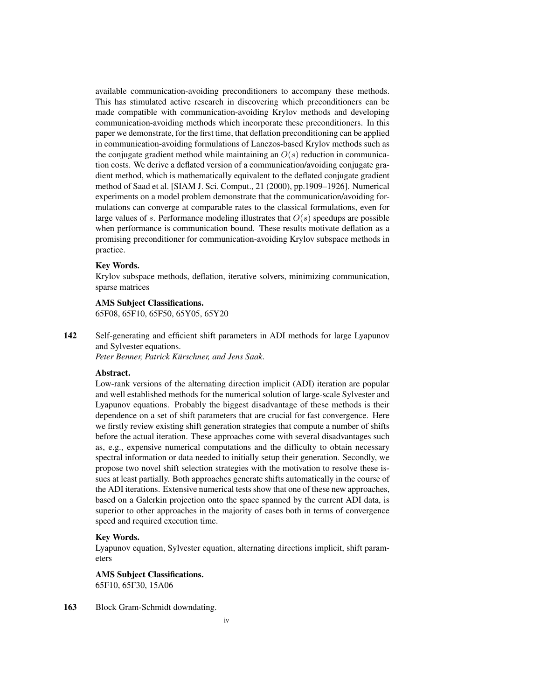available communication-avoiding preconditioners to accompany these methods. This has stimulated active research in discovering which preconditioners can be made compatible with communication-avoiding Krylov methods and developing communication-avoiding methods which incorporate these preconditioners. In this paper we demonstrate, for the first time, that deflation preconditioning can be applied in communication-avoiding formulations of Lanczos-based Krylov methods such as the conjugate gradient method while maintaining an  $O(s)$  reduction in communication costs. We derive a deflated version of a communication/avoiding conjugate gradient method, which is mathematically equivalent to the deflated conjugate gradient method of Saad et al. [SIAM J. Sci. Comput., 21 (2000), pp.1909–1926]. Numerical experiments on a model problem demonstrate that the communication/avoiding formulations can converge at comparable rates to the classical formulations, even for large values of s. Performance modeling illustrates that  $O(s)$  speedups are possible when performance is communication bound. These results motivate deflation as a promising preconditioner for communication-avoiding Krylov subspace methods in practice.

#### Key Words.

Krylov subspace methods, deflation, iterative solvers, minimizing communication, sparse matrices

## AMS Subject Classifications.

65F08, 65F10, 65F50, 65Y05, 65Y20

142 Self-generating and efficient shift parameters in ADI methods for large Lyapunov and Sylvester equations.

*Peter Benner, Patrick Kürschner, and Jens Saak.* 

#### Abstract.

Low-rank versions of the alternating direction implicit (ADI) iteration are popular and well established methods for the numerical solution of large-scale Sylvester and Lyapunov equations. Probably the biggest disadvantage of these methods is their dependence on a set of shift parameters that are crucial for fast convergence. Here we firstly review existing shift generation strategies that compute a number of shifts before the actual iteration. These approaches come with several disadvantages such as, e.g., expensive numerical computations and the difficulty to obtain necessary spectral information or data needed to initially setup their generation. Secondly, we propose two novel shift selection strategies with the motivation to resolve these issues at least partially. Both approaches generate shifts automatically in the course of the ADI iterations. Extensive numerical tests show that one of these new approaches, based on a Galerkin projection onto the space spanned by the current ADI data, is superior to other approaches in the majority of cases both in terms of convergence speed and required execution time.

#### Key Words.

Lyapunov equation, Sylvester equation, alternating directions implicit, shift parameters

#### AMS Subject Classifications.

65F10, 65F30, 15A06

163 Block Gram-Schmidt downdating.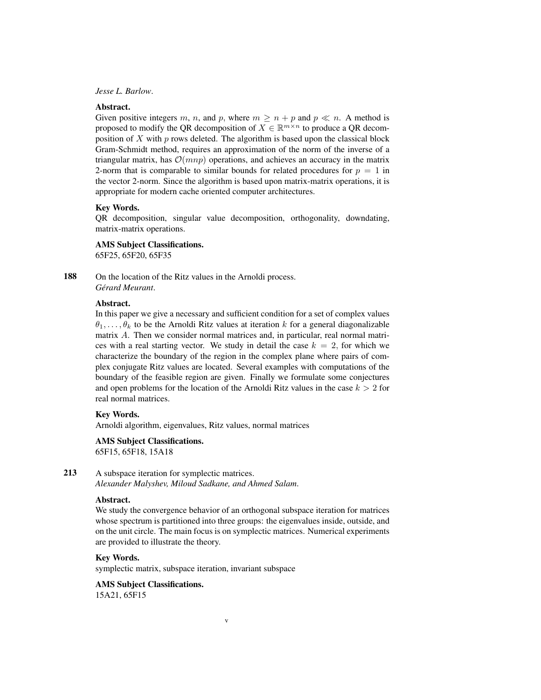#### *Jesse L. Barlow*.

## Abstract.

Given positive integers m, n, and p, where  $m \ge n + p$  and  $p \ll n$ . A method is proposed to modify the QR decomposition of  $X \in \mathbb{R}^{m \times n}$  to produce a QR decomposition of  $X$  with  $p$  rows deleted. The algorithm is based upon the classical block Gram-Schmidt method, requires an approximation of the norm of the inverse of a triangular matrix, has  $\mathcal{O}(mnp)$  operations, and achieves an accuracy in the matrix 2-norm that is comparable to similar bounds for related procedures for  $p = 1$  in the vector 2-norm. Since the algorithm is based upon matrix-matrix operations, it is appropriate for modern cache oriented computer architectures.

## Key Words.

QR decomposition, singular value decomposition, orthogonality, downdating, matrix-matrix operations.

#### AMS Subject Classifications.

65F25, 65F20, 65F35

188 On the location of the Ritz values in the Arnoldi process. *Gerard Meurant ´* .

#### Abstract.

In this paper we give a necessary and sufficient condition for a set of complex values  $\theta_1, \ldots, \theta_k$  to be the Arnoldi Ritz values at iteration k for a general diagonalizable matrix A. Then we consider normal matrices and, in particular, real normal matrices with a real starting vector. We study in detail the case  $k = 2$ , for which we characterize the boundary of the region in the complex plane where pairs of complex conjugate Ritz values are located. Several examples with computations of the boundary of the feasible region are given. Finally we formulate some conjectures and open problems for the location of the Arnoldi Ritz values in the case  $k > 2$  for real normal matrices.

#### Key Words.

Arnoldi algorithm, eigenvalues, Ritz values, normal matrices

## AMS Subject Classifications.

65F15, 65F18, 15A18

## 213 A subspace iteration for symplectic matrices.

*Alexander Malyshev, Miloud Sadkane, and Ahmed Salam*.

#### Abstract.

We study the convergence behavior of an orthogonal subspace iteration for matrices whose spectrum is partitioned into three groups: the eigenvalues inside, outside, and on the unit circle. The main focus is on symplectic matrices. Numerical experiments are provided to illustrate the theory.

v

#### Key Words.

symplectic matrix, subspace iteration, invariant subspace

## AMS Subject Classifications.

15A21, 65F15